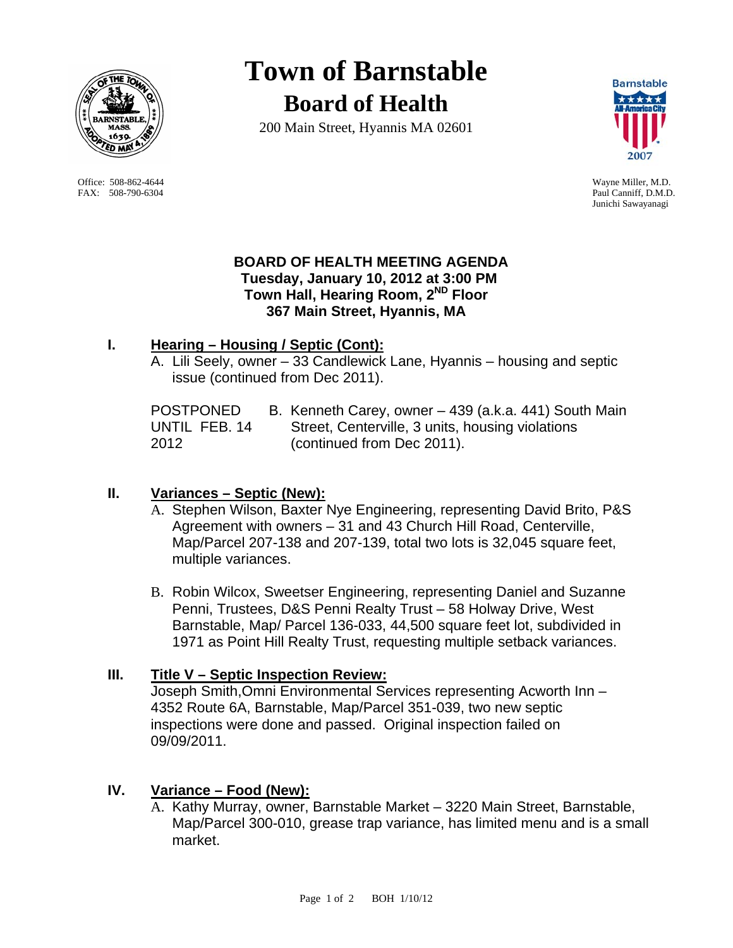

 Office: 508-862-4644 Wayne Miller, M.D. FAX: 508-790-6304 Paul Canniff, D.M.D.

# **Town of Barnstable Board of Health**

200 Main Street, Hyannis MA 02601



Junichi Sawayanagi

#### **BOARD OF HEALTH MEETING AGENDA Tuesday, January 10, 2012 at 3:00 PM Town Hall, Hearing Room, 2ND Floor 367 Main Street, Hyannis, MA**

# **I. Hearing – Housing / Septic (Cont):**

A. Lili Seely, owner – 33 Candlewick Lane, Hyannis – housing and septic issue (continued from Dec 2011).

| <b>POSTPONED</b> | B. Kenneth Carey, owner - 439 (a.k.a. 441) South Main |
|------------------|-------------------------------------------------------|
| UNTIL FEB. 14    | Street, Centerville, 3 units, housing violations      |
| 2012             | (continued from Dec 2011).                            |

# **II. Variances – Septic (New):**

- A. Stephen Wilson, Baxter Nye Engineering, representing David Brito, P&S Agreement with owners – 31 and 43 Church Hill Road, Centerville, Map/Parcel 207-138 and 207-139, total two lots is 32,045 square feet, multiple variances.
- B. Robin Wilcox, Sweetser Engineering, representing Daniel and Suzanne Penni, Trustees, D&S Penni Realty Trust – 58 Holway Drive, West Barnstable, Map/ Parcel 136-033, 44,500 square feet lot, subdivided in 1971 as Point Hill Realty Trust, requesting multiple setback variances.

# **III. Title V – Septic Inspection Review:**

Joseph Smith,Omni Environmental Services representing Acworth Inn – 4352 Route 6A, Barnstable, Map/Parcel 351-039, two new septic inspections were done and passed. Original inspection failed on 09/09/2011.

# **IV. Variance – Food (New):**

A. Kathy Murray, owner, Barnstable Market – 3220 Main Street, Barnstable, Map/Parcel 300-010, grease trap variance, has limited menu and is a small market.